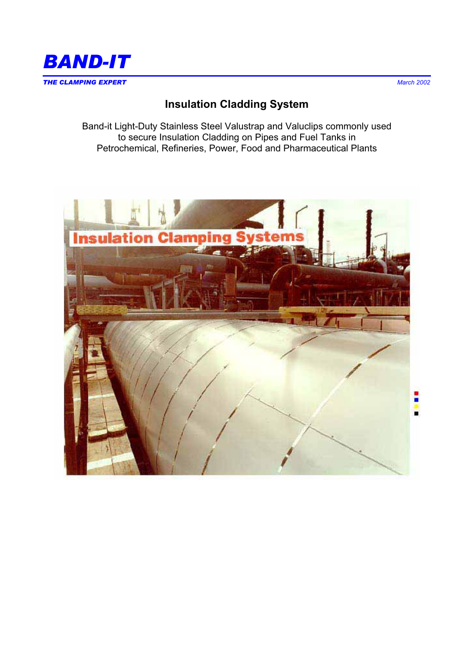

# **Insulation Cladding System**

Band-it Light-Duty Stainless Steel Valustrap and Valuclips commonly used to secure Insulation Cladding on Pipes and Fuel Tanks in Petrochemical, Refineries, Power, Food and Pharmaceutical Plants

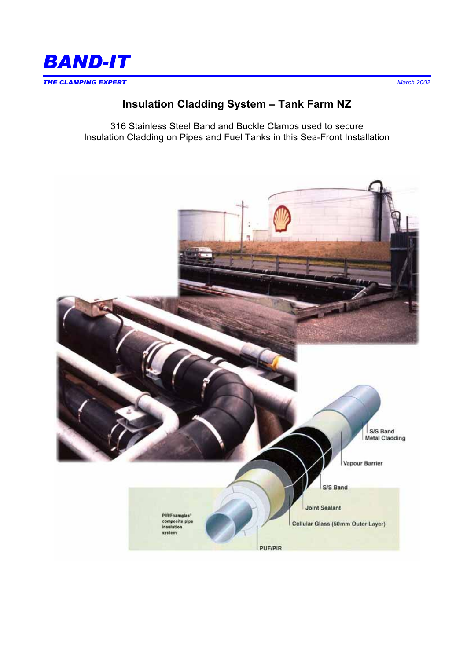

# **Insulation Cladding System – Tank Farm NZ**

316 Stainless Steel Band and Buckle Clamps used to secure Insulation Cladding on Pipes and Fuel Tanks in this Sea-Front Installation